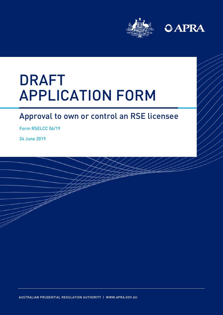



# DRAFT APPLICATION FORM APPLICATION FORM

### Approval to own or control an RSE licensee

Form RSELCC 06/19

24 June 2019

AUSTRALIAN PRUDENTIAL REGULATION AUTHORITY | WWW.APRA.GOV.AU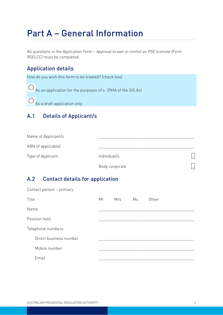## Part A – General Information

All questions in the *Application Form – Approval to own or control an RSE licensee (Form RSELCC)* must be completed.

#### Application details

How do you wish this form to be treated? (check box)

As an application for the purposes of s. 29HA of the SIS Act

 $\bigcirc$  As a draft application only

#### A.1 Details of Applicant/s

| Name of Applicant/s |                |                                  |
|---------------------|----------------|----------------------------------|
| ABN (if applicable) |                |                                  |
| Type of Applicant   | Individual/s   | $\left  \rule{0pt}{10pt}\right.$ |
|                     | Body corporate | $\left  \rule{0pt}{10pt}\right.$ |

#### A.2 Contact details for application

| Contact person - primary |    |     |    |       |
|--------------------------|----|-----|----|-------|
| Title                    | Mr | Mrs | Ms | Other |
| Name                     |    |     |    |       |
| Position held            |    |     |    |       |
| Telephone numbers        |    |     |    |       |
| Direct business number   |    |     |    |       |
| Mobile number            |    |     |    |       |
| Email                    |    |     |    |       |
|                          |    |     |    |       |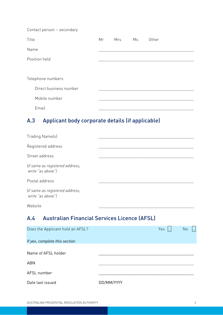| Contact person - secondary |    |     |    |       |
|----------------------------|----|-----|----|-------|
| Title                      | Mr | Mrs | Ms | Other |
| Name                       |    |     |    |       |
| Position held              |    |     |    |       |
|                            |    |     |    |       |
| Telephone numbers          |    |     |    |       |
| Direct business number     |    |     |    |       |
| Mobile number              |    |     |    |       |
| Email                      |    |     |    |       |

#### A.3 Applicant body corporate details (if applicable)

| Trading Name(s)                                      |  |
|------------------------------------------------------|--|
| Registered address                                   |  |
| Street address                                       |  |
| (if same as registered address,<br>write "as above") |  |
| Postal address                                       |  |
| (if same as registered address,<br>write "as above") |  |
| Website                                              |  |

### A.4 Australian Financial Services Licence (AFSL)

| Does the Applicant hold an AFSL? |            | Yes | No |  |
|----------------------------------|------------|-----|----|--|
| If yes, complete this section    |            |     |    |  |
| Name of AFSL holder              |            |     |    |  |
| <b>ABN</b>                       |            |     |    |  |
| AFSL number                      |            |     |    |  |
| Date last issued                 | DD/MM/YYYY |     |    |  |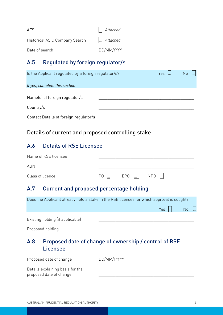| AFSL                           | $\left  \ldots \right $ Attached |
|--------------------------------|----------------------------------|
| Historical ASIC Company Search | $\left  \ldots \right $ Attached |
| Date of search                 | DD/MM/YYYY                       |

#### A.5 Regulated by foreign regulator/s

| Is the Applicant regulated by a foreign regulator/s? | Yes $\ .\ $ | <b>No</b> |
|------------------------------------------------------|-------------|-----------|
| If yes, complete this section                        |             |           |
| Name(s) of foreign regulator/s                       |             |           |
| Country/s                                            |             |           |
| Contact Details of foreign regulator/s               |             |           |

#### Details of current and proposed controlling stake

#### A.6 Details of RSE Licensee

| A.7 Current and proposed percentage holding |  |                                                                                          |  |  |
|---------------------------------------------|--|------------------------------------------------------------------------------------------|--|--|
| Class of licence                            |  | $PO$ $\left  \ldots \right $ $EPO$ $\left  \ldots \right $ $NPO$ $\left  \ldots \right $ |  |  |
| ABN                                         |  |                                                                                          |  |  |
| Name of RSE licensee                        |  |                                                                                          |  |  |

|     | Does the Applicant already hold a stake in the RSE licensee for which approval is sought? |                                                       |              |    |  |  |
|-----|-------------------------------------------------------------------------------------------|-------------------------------------------------------|--------------|----|--|--|
|     |                                                                                           |                                                       | $Yes$ $\Box$ | No |  |  |
|     | Existing holding (if applicable)                                                          |                                                       |              |    |  |  |
|     | Proposed holding                                                                          |                                                       |              |    |  |  |
| A.8 | Licensee                                                                                  | Proposed date of change of ownership / control of RSE |              |    |  |  |

proposed date of change \_\_\_\_\_\_\_\_\_\_\_\_\_\_\_\_\_\_\_\_\_\_\_\_\_\_\_\_\_\_\_\_\_\_\_\_\_\_\_\_\_\_\_\_\_

| Proposed date of change          | DD/MM/YYYYY |  |
|----------------------------------|-------------|--|
| Details explaining basis for the |             |  |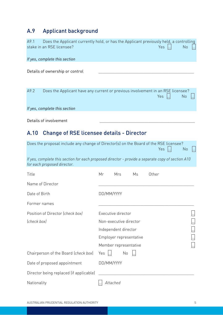### A.9 Applicant background

| A9.1<br>stake in an RSE licensee?                                                                                                | Does the Applicant currently hold, or has the Applicant previously held, a controlling                                   | Yes            | No |
|----------------------------------------------------------------------------------------------------------------------------------|--------------------------------------------------------------------------------------------------------------------------|----------------|----|
| If yes, complete this section                                                                                                    |                                                                                                                          |                |    |
| Details of ownership or control                                                                                                  |                                                                                                                          |                |    |
| A9.2                                                                                                                             | Does the Applicant have any current or previous involvement in an RSE licensee?                                          | Yes            | No |
| If yes, complete this section                                                                                                    |                                                                                                                          |                |    |
| Details of involvement                                                                                                           |                                                                                                                          |                |    |
| <b>Change of RSE licensee details - Director</b><br>A.10                                                                         |                                                                                                                          |                |    |
| Does the proposal include any change of Director(s) on the Board of the RSE licensee?                                            |                                                                                                                          | $Yes$ $\ldots$ | No |
| If yes, complete this section for each proposed director - provide a separate copy of section A10<br>for each proposed director. |                                                                                                                          |                |    |
| Title                                                                                                                            | Other<br>Mr<br>Mrs<br>Ms                                                                                                 |                |    |
| Name of Director                                                                                                                 |                                                                                                                          |                |    |
| Date of Birth                                                                                                                    | DD/MM/YYYY                                                                                                               |                |    |
| Former names                                                                                                                     |                                                                                                                          |                |    |
| Position of Director (check box)<br>(check box)                                                                                  | Executive director<br>Non-executive director<br>Independent director<br>Employer representative<br>Member representative |                |    |
| Chairperson of the Board (check box)                                                                                             | Yes<br>No                                                                                                                |                |    |
| Date of proposed appointment                                                                                                     | DD/MM/YYYY                                                                                                               |                |    |
| Director being replaced (if applicable)                                                                                          |                                                                                                                          |                |    |
| Nationality                                                                                                                      | Attached                                                                                                                 |                |    |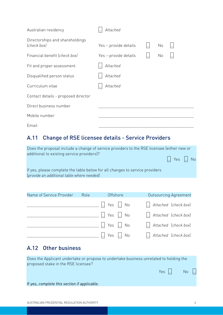| Australian residency                           | Attached              |    |  |  |
|------------------------------------------------|-----------------------|----|--|--|
| Directorships and shareholdings<br>(check box) | Yes - provide details | No |  |  |
| Financial benefit (check box)                  | Yes - provide details | No |  |  |
| Fit and proper assessment                      | Attached              |    |  |  |
| Disqualified person status                     | Attached              |    |  |  |
| Curriculum vitae                               | Attached              |    |  |  |
| Contact details - proposed director            |                       |    |  |  |
| Direct business number                         |                       |    |  |  |
| Mobile number                                  |                       |    |  |  |
| Email                                          |                       |    |  |  |

#### A.11 Change of RSE licensee details - Service Providers

| Does the proposal include a change of service providers to the RSE licensee (either new or<br>additional to existing service providers)? | $\therefore$ Yes $\therefore$ No |  |
|------------------------------------------------------------------------------------------------------------------------------------------|----------------------------------|--|
| If yes, please complete the table below for all changes to service providers<br>(provide an additional table where needed)               |                                  |  |

| Name of Service Provider | Role | Offshore                                                                                     | <b>Outsourcing Agreement</b>                                      |
|--------------------------|------|----------------------------------------------------------------------------------------------|-------------------------------------------------------------------|
|                          |      | $\mathbb{L}$ Yes $\mathbb{L}$ No                                                             | $\left  \dots \right $ Attached $\left  \text{check box} \right $ |
|                          |      | $\begin{array}{ c c c c c c c c } \hline \dots & \text{Yes} & \dots & \text{No} \end{array}$ | $\left  \dots \right $ Attached $\left  \text{check box} \right $ |
|                          |      | $\begin{bmatrix} \dots \end{bmatrix}$ Yes $\begin{bmatrix} \dots \end{bmatrix}$ No           | $\left  \dots \right $ Attached $\left  \text{check box} \right $ |
|                          |      | $\therefore$ Yes $\therefore$ No                                                             | $\left  \dots \right $ Attached $\left  \text{check box} \right $ |

#### A.12 Other business

Does the Applicant undertake or propose to undertake business unrelated to holding the proposed stake in the RSE licensee?

If yes, *complete this section if applicable.*

Yes <mark>...</mark> No ...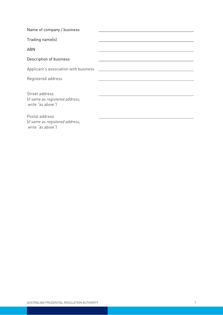Name of company / business

Trading name(s)

ABN \_\_\_\_\_\_\_\_\_\_\_\_\_\_\_\_\_\_\_\_\_\_\_\_\_\_\_\_\_\_\_\_\_\_\_\_\_\_\_\_\_\_\_\_\_

Description of business

Applicant's association with business

Registered address

Street address (*if same as registered address, write "as above")*

#### Postal address

(*if same as registered address, write "as above")*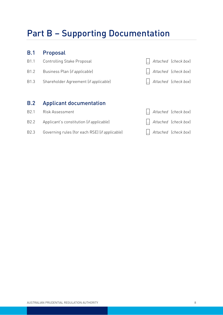## Part B – Supporting Documentation

#### B.1 Proposal

- B1.1 Controlling Stake Proposal … *Attached* (*check box*)
- B1.2 Business Plan (*if applicable*) … *Attached* (*check box*)
- B1.3 Shareholder Agreement (*if applicable*) … *Attached* (*check box*)

#### B.2 Applicant documentation

- B2.1 Risk Assessment … *Attached* (*check box*)
- 
- B2.3 Governing rules (for each RSE) (*if applicable*) … *Attached* (*check box*)
- 
- B2.2 Applicant's constitution (*if applicable*) … *Attached* (*check box*)
	-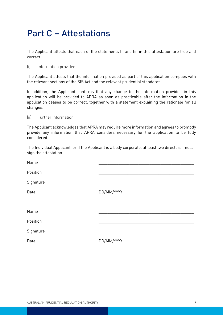### Part C – Attestations

The Applicant attests that each of the statements (i) and (ii) in this attestation are true and correct:

#### (i) Information provided

The Applicant attests that the information provided as part of this application complies with the relevant sections of the SIS Act and the relevant prudential standards.

In addition, the Applicant confirms that any change to the information provided in this application will be provided to APRA as soon as practicable after the information in the application ceases to be correct, together with a statement explaining the rationale for all changes.

#### (ii) Further information

The Applicant acknowledges that APRA may require more information and agrees to promptly provide any information that APRA considers necessary for the application to be fully considered.

The Individual Applicant, or if the Applicant is a body corporate, at least two directors, must sign the attestation.

| Name      |            |
|-----------|------------|
| Position  |            |
| Signature |            |
| Date      | DD/MM/YYYY |
|           |            |
| Name      |            |
| Position  |            |
| Signature |            |
| Date      | DD/MM/YYYY |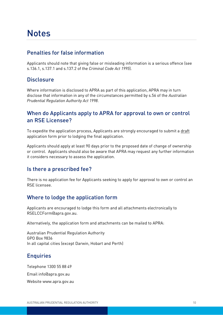### **Notes**

#### Penalties for false information

Applicants should note that giving false or misleading information is a serious offence (see s.136.1, s.137.1 and s.137.2 of the *Criminal Code Act 1995*).

#### **Disclosure**

Where information is disclosed to APRA as part of this application, APRA may in turn disclose that information in any of the circumstances permitted by s.56 of the *Australian Prudential Regulation Authority Act 1998*.

#### When do Applicants apply to APRA for approval to own or control an RSE Licensee?

To expedite the application process, Applicants are strongly encouraged to submit a draft application form prior to lodging the final application.

Applicants should apply at least 90 days prior to the proposed date of change of ownership or control. Applicants should also be aware that APRA may request any further information it considers necessary to assess the application.

#### Is there a prescribed fee?

There is no application fee for Applicants seeking to apply for approval to own or control an RSE licensee.

#### Where to lodge the application form

Applicants are encouraged to lodge this form and all attachments electronically to RSELCCForm@apra.gov.au.

Alternatively, the application form and attachments can be mailed to APRA:

Australian Prudential Regulation Authority GPO Box 9836 In all capital cities (except Darwin, Hobart and Perth)

#### **Enquiries**

Telephone 1300 55 88 49 Email info@apra.gov.au Websit[e www.apra.gov.au](http://www.apra.gov.au/)